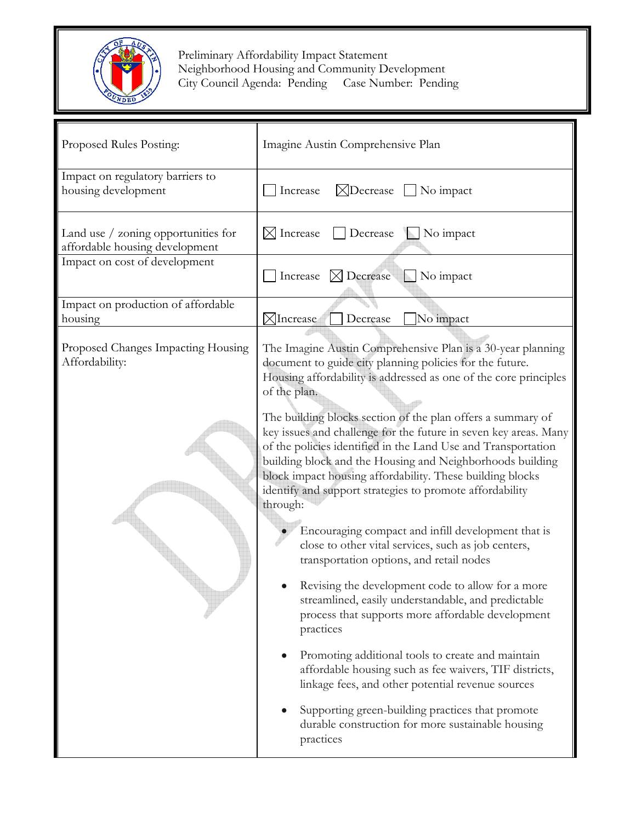

Preliminary Affordability Impact Statement<br>
Neighborhood Housing and Community Development **City Council Agenda: Pending Case Number: Pending** 

| Proposed Rules Posting:                                               | Imagine Austin Comprehensive Plan                                                                                                                                                                                                                                                                                                                                                                  |
|-----------------------------------------------------------------------|----------------------------------------------------------------------------------------------------------------------------------------------------------------------------------------------------------------------------------------------------------------------------------------------------------------------------------------------------------------------------------------------------|
| Impact on regulatory barriers to<br>housing development               | $\boxtimes$ Decrease $\Box$ No impact<br>Increase                                                                                                                                                                                                                                                                                                                                                  |
| Land use / zoning opportunities for<br>affordable housing development | Decrease<br>No impact<br>$\boxtimes$ Increase                                                                                                                                                                                                                                                                                                                                                      |
| Impact on cost of development                                         | $\boxtimes$ Decrease<br>No impact<br>Increase                                                                                                                                                                                                                                                                                                                                                      |
| Impact on production of affordable<br>housing                         | $\boxtimes$ Increase<br>Decrease<br>No impact                                                                                                                                                                                                                                                                                                                                                      |
| Proposed Changes Impacting Housing<br>Affordability:                  | The Imagine Austin Comprehensive Plan is a 30-year planning<br>document to guide city planning policies for the future.<br>Housing affordability is addressed as one of the core principles<br>of the plan.                                                                                                                                                                                        |
|                                                                       | The building blocks section of the plan offers a summary of<br>key issues and challenge for the future in seven key areas. Many<br>of the policies identified in the Land Use and Transportation<br>building block and the Housing and Neighborhoods building<br>block impact housing affordability. These building blocks<br>identify and support strategies to promote affordability<br>through: |
|                                                                       | Encouraging compact and infill development that is<br>close to other vital services, such as job centers,<br>transportation options, and retail nodes                                                                                                                                                                                                                                              |
|                                                                       | Revising the development code to allow for a more<br>streamlined, easily understandable, and predictable<br>process that supports more affordable development<br>practices                                                                                                                                                                                                                         |
|                                                                       | Promoting additional tools to create and maintain<br>affordable housing such as fee waivers, TIF districts,<br>linkage fees, and other potential revenue sources                                                                                                                                                                                                                                   |
|                                                                       | Supporting green-building practices that promote<br>durable construction for more sustainable housing<br>practices                                                                                                                                                                                                                                                                                 |